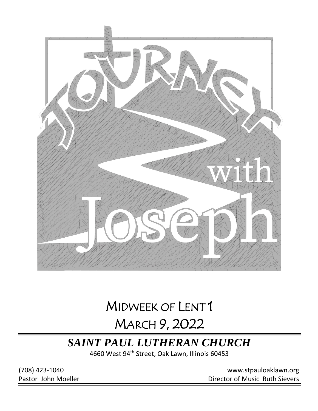

# MIDWEEK OF LENT 1 MARCH 9, 2022

## *SAINT PAUL LUTHERAN CHURCH*

4660 West 94th Street, Oak Lawn, Illinois 60453

(708) 423-1040 [www.stpauloaklawn.org](about:blank) Pastor John Moeller **Director of Music Ruth Sievers**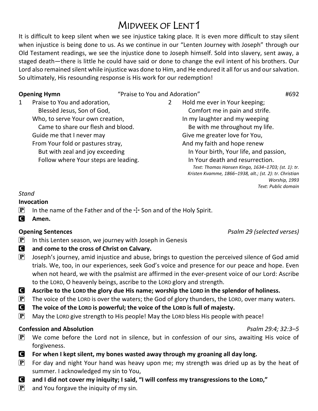## MIDWEEK OF LENT 1

It is difficult to keep silent when we see injustice taking place. It is even more difficult to stay silent when injustice is being done to us. As we continue in our "Lenten Journey with Joseph" through our Old Testament readings, we see the injustice done to Joseph himself. Sold into slavery, sent away, a staged death—there is little he could have said or done to change the evil intent of his brothers. Our Lord also remained silent while injustice was done to Him, and He endured it all for us and our salvation. So ultimately, His resounding response is His work for our redemption!

**Opening Hymn**  $\qquad$  "Praise to You and Adoration"  $\qquad$  #692

1 Praise to You and adoration, Blessèd Jesus, Son of God, Who, to serve Your own creation, Came to share our flesh and blood. Guide me that I never may From Your fold or pastures stray, But with zeal and joy exceeding Follow where Your steps are leading. 2 Hold me ever in Your keeping; Comfort me in pain and strife. In my laughter and my weeping Be with me throughout my life. Give me greater love for You, And my faith and hope renew In Your birth, Your life, and passion, In Your death and resurrection. *Text: Thomas Hansen Kingo, 1634–1703; (st. 1): tr. Kristen Kvamme, 1866–1938, alt.; (st. 2): tr. Christian Worship, 1993 Text: Public domain*

### *Stand*

### **Invocation**

- **P** In the name of the Father and of the  $\pm$  Son and of the Holy Spirit.
- C **Amen.**

- **P** In this Lenten season, we journey with Joseph in Genesis
- C **and come to the cross of Christ on Calvary.**
- **P** Joseph's journey, amid injustice and abuse, brings to question the perceived silence of God amid trials. We, too, in our experiences, seek God's voice and presence for our peace and hope. Even when not heard, we with the psalmist are affirmed in the ever-present voice of our Lord: Ascribe to the LORD, O heavenly beings, ascribe to the LORD glory and strength.
- C **Ascribe to the LORD the glory due His name; worship the LORD in the splendor of holiness.**
- $\mathbf{P}$  The voice of the LORD is over the waters; the God of glory thunders, the LORD, over many waters.
- C **The voice of the LORD is powerful; the voice of the LORD is full of majesty.**
- $\mathbf{P}$  May the LORD give strength to His people! May the LORD bless His people with peace!

### **Confession and Absolution** *Psalm 29:4; 32:3–5*

- $\mathbf{P}$  We come before the Lord not in silence, but in confession of our sins, awaiting His voice of forgiveness.
- C **For when I kept silent, my bones wasted away through my groaning all day long.**
- $\mathbf{P}$  For day and night Your hand was heavy upon me; my strength was dried up as by the heat of summer. I acknowledged my sin to You,
- **C** and I did not cover my iniquity; I said, "I will confess my transgressions to the LORD,"
- $\left| \mathbf{P} \right|$  and You forgave the iniquity of my sin.

### **Opening Sentences** *Psalm 29 (selected verses)*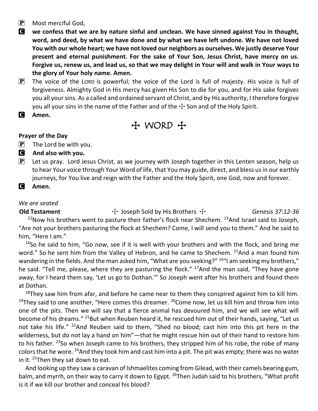- $\left| \mathbf{P} \right|$  Most merciful God,
- C **we confess that we are by nature sinful and unclean. We have sinned against You in thought, word, and deed, by what we have done and by what we have left undone. We have not loved You with our whole heart; we have not loved our neighbors as ourselves. We justly deserve Your present and eternal punishment. For the sake of Your Son, Jesus Christ, have mercy on us. Forgive us, renew us, and lead us, so that we may delight in Your will and walk in Your ways to the glory of Your holy name. Amen.**
- $\mathbf{P}$  The voice of the LORD is powerful; the voice of the Lord is full of majesty. His voice is full of forgiveness. Almighty God in His mercy has given His Son to die for you, and for His sake forgives you all your sins. As a called and ordained servant of Christ, and by His authority, I therefore forgive you all your sins in the name of the Father and of the  $\pm$  Son and of the Holy Spirit.
- C **Amen.**

## + WORD +

### **Prayer of the Day**

- $\left| \mathbf{P} \right|$  The Lord be with you.
- C **And also with you.**
- $\left| \mathbf{P} \right|$  Let us pray. Lord Jesus Christ, as we journey with Joseph together in this Lenten season, help us to hear Your voice through Your Word of life, that You may guide, direct, and bless us in our earthly journeys, for You live and reign with the Father and the Holy Spirit, one God, now and forever.
- C **Amen.**

### *We are seated*

**Old Testament** The Sold by His Brothers The *Genesis 37:12-36*  $12$ Now his brothers went to pasture their father's flock near Shechem.  $13$ And Israel said to Joseph, "Are not your brothers pasturing the flock at Shechem? Come, I will send you to them." And he said to him, "Here I am."

<sup>14</sup>So he said to him, "Go now, see if it is well with your brothers and with the flock, and bring me word." So he sent him from the Valley of Hebron, and he came to Shechem. <sup>15</sup>And a man found him wandering in the fields. And the man asked him, "What are you seeking?" <sup>16</sup>"I am seeking my brothers," he said. "Tell me, please, where they are pasturing the flock." <sup>17</sup>And the man said, "They have gone away, for I heard them say, 'Let us go to Dothan.'" So Joseph went after his brothers and found them at Dothan.

 $18$ They saw him from afar, and before he came near to them they conspired against him to kill him. <sup>19</sup>They said to one another, "Here comes this dreamer. <sup>20</sup> Come now, let us kill him and throw him into one of the pits. Then we will say that a fierce animal has devoured him, and we will see what will become of his dreams." <sup>21</sup>But when Reuben heard it, he rescued him out of their hands, saying, "Let us not take his life." <sup>22</sup>And Reuben said to them, "Shed no blood; cast him into this pit here in the wilderness, but do not lay a hand on him"—that he might rescue him out of their hand to restore him to his father. <sup>23</sup>So when Joseph came to his brothers, they stripped him of his robe, the robe of many colors that he wore. <sup>24</sup>And they took him and cast him into a pit. The pit was empty; there was no water in it.  $25$ Then they sat down to eat.

And looking up they saw a caravan of Ishmaelites coming from Gilead, with their camels bearing gum, balm, and myrrh, on their way to carry it down to Egypt. <sup>26</sup>Then Judah said to his brothers, "What profit is it if we kill our brother and conceal his blood?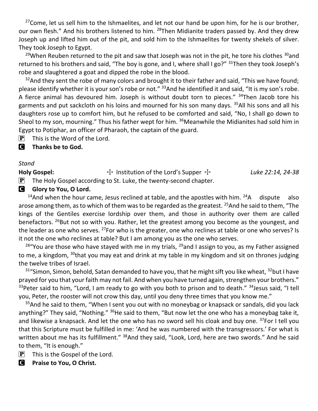$27$ Come, let us sell him to the Ishmaelites, and let not our hand be upon him, for he is our brother, our own flesh." And his brothers listened to him. <sup>28</sup>Then Midianite traders passed by. And they drew Joseph up and lifted him out of the pit, and sold him to the Ishmaelites for twenty shekels of silver. They took Joseph to Egypt.

<sup>29</sup>When Reuben returned to the pit and saw that Joseph was not in the pit, he tore his clothes  $30$  and returned to his brothers and said, "The boy is gone, and I, where shall I go?" <sup>31</sup>Then they took Joseph's robe and slaughtered a goat and dipped the robe in the blood.

 $32$ And they sent the robe of many colors and brought it to their father and said, "This we have found; please identify whether it is your son's robe or not." <sup>33</sup>And he identified it and said, "It is my son's robe. A fierce animal has devoured him. Joseph is without doubt torn to pieces." <sup>34</sup>Then Jacob tore his garments and put sackcloth on his loins and mourned for his son many days. <sup>35</sup>All his sons and all his daughters rose up to comfort him, but he refused to be comforted and said, "No, I shall go down to Sheol to my son, mourning." Thus his father wept for him. <sup>36</sup>Meanwhile the Midianites had sold him in Egypt to Potiphar, an officer of Pharaoh, the captain of the guard.

 $\mathbf{P}$  This is the Word of the Lord.

### C **Thanks be to God.**

### *Stand*

Holy Gospel:  $\ddot{ }$  Institution of the Lord's Supper  $\ddot{ }$  *Luke 22:14, 24-38* 

 $\mathbf{P}$  The Holy Gospel according to St. Luke, the twenty-second chapter.

### **G** Glory to You, O Lord.

<sup>14</sup>And when the hour came, Jesus reclined at table, and the apostles with him.  $24A$  dispute also arose among them, as to which of them was to be regarded as the greatest. <sup>25</sup>And he said to them, "The kings of the Gentiles exercise lordship over them, and those in authority over them are called benefactors. <sup>26</sup>But not so with you. Rather, let the greatest among you become as the youngest, and the leader as one who serves. <sup>27</sup>For who is the greater, one who reclines at table or one who serves? Is it not the one who reclines at table? But I am among you as the one who serves.

<sup>28</sup> You are those who have stayed with me in my trials, <sup>29</sup>and I assign to you, as my Father assigned to me, a kingdom, <sup>30</sup>that you may eat and drink at my table in my kingdom and sit on thrones judging the twelve tribes of Israel.

 $31$ "Simon, Simon, behold, Satan demanded to have you, that he might sift you like wheat,  $32$  but I have prayed for you that your faith may not fail. And when you have turned again, strengthen your brothers."  $33$ Peter said to him, "Lord, I am ready to go with you both to prison and to death."  $34$  Jesus said, "I tell you, Peter, the rooster will not crow this day, until you deny three times that you know me."

<sup>35</sup> And he said to them, "When I sent you out with no moneybag or knapsack or sandals, did you lack anything?" They said, "Nothing." <sup>36</sup>He said to them, "But now let the one who has a moneybag take it, and likewise a knapsack. And let the one who has no sword sell his cloak and buy one. <sup>37</sup>For I tell you that this Scripture must be fulfilled in me: 'And he was numbered with the transgressors.' For what is written about me has its fulfillment." <sup>38</sup>And they said, "Look, Lord, here are two swords." And he said to them, "It is enough."

 $\left[ \mathbf{P} \right]$  This is the Gospel of the Lord.

C **Praise to You, O Christ.**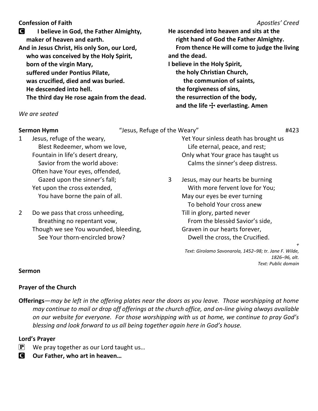### **Confession of Faith** *Apostles' Creed*

C **I believe in God, the Father Almighty, maker of heaven and earth. And in Jesus Christ, His only Son, our Lord, who was conceived by the Holy Spirit, born of the virgin Mary, suffered under Pontius Pilate, was crucified, died and was buried. He descended into hell. The third day He rose again from the dead.**

*We are seated*

**Sermon Hymn**  $\qquad$  "Jesus, Refuge of the Weary"  $\qquad$   $\qquad$   $\qquad$   $\qquad$   $\qquad$   $\qquad$   $\qquad$   $\qquad$   $\qquad$   $\qquad$   $\qquad$   $\qquad$   $\qquad$   $\qquad$   $\qquad$   $\qquad$   $\qquad$   $\qquad$   $\qquad$   $\qquad$   $\qquad$   $\qquad$   $\qquad$   $\qquad$   $\qquad$   $\qquad$   $\qquad$   $\qquad$   $\qquad$ 

1 Jesus, refuge of the weary, Blest Redeemer, whom we love, Fountain in life's desert dreary, Savior from the world above: Often have Your eyes, offended, Gazed upon the sinner's fall; Yet upon the cross extended, You have borne the pain of all.

2 Do we pass that cross unheeding, Breathing no repentant vow, Though we see You wounded, bleeding, See Your thorn-encircled brow?

**He ascended into heaven and sits at the right hand of God the Father Almighty. From thence He will come to judge the living and the dead. I believe in the Holy Spirit, the holy Christian Church, the communion of saints, the forgiveness of sins, the resurrection of the body, and the life** T **everlasting. Amen**

Yet Your sinless death has brought us Life eternal, peace, and rest; Only what Your grace has taught us Calms the sinner's deep distress.

3 Jesus, may our hearts be burning With more fervent love for You; May our eyes be ever turning To behold Your cross anew Till in glory, parted never From the blessèd Savior's side, Graven in our hearts forever, Dwell the cross, the Crucified.

> *+ Text: Girolamo Savonarola, 1452–98; tr. Jane F. Wilde, 1826–96, alt. Text: Public domain*

### **Sermon**

### **Prayer of the Church**

**Offerings***—may be left in the offering plates near the doors as you leave. Those worshipping at home may continue to mail or drop off offerings at the church office, and on-line giving always available on our website for everyone. For those worshipping with us at home, we continue to pray God's blessing and look forward to us all being together again here in God's house.*

### **Lord's Prayer**

- $\mathbf{P}$  We pray together as our Lord taught us...
- C **Our Father, who art in heaven…**